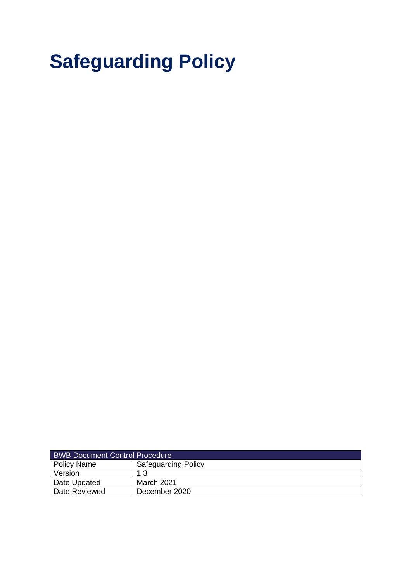# **Safeguarding Policy**

| <b>BWB Document Control Procedure</b> |                            |  |
|---------------------------------------|----------------------------|--|
| <b>Policy Name</b>                    | <b>Safeguarding Policy</b> |  |
| Version                               | 1.3                        |  |
| Date Updated                          | March 2021                 |  |
| Date Reviewed                         | December 2020              |  |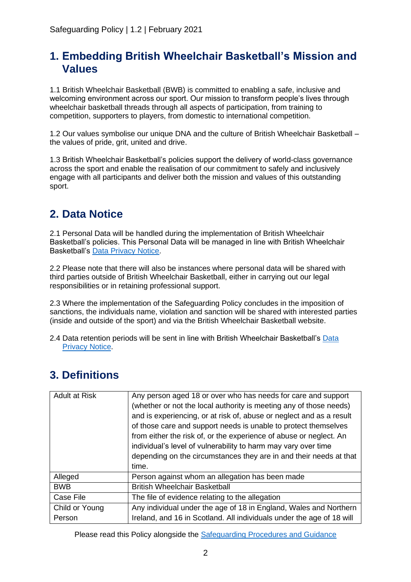### **1. Embedding British Wheelchair Basketball's Mission and Values**

1.1 British Wheelchair Basketball (BWB) is committed to enabling a safe, inclusive and welcoming environment across our sport. Our mission to transform people's lives through wheelchair basketball threads through all aspects of participation, from training to competition, supporters to players, from domestic to international competition.

1.2 Our values symbolise our unique DNA and the culture of British Wheelchair Basketball – the values of pride, grit, united and drive.

1.3 British Wheelchair Basketball's policies support the delivery of world-class governance across the sport and enable the realisation of our commitment to safely and inclusively engage with all participants and deliver both the mission and values of this outstanding sport.

### **2. Data Notice**

2.1 Personal Data will be handled during the implementation of British Wheelchair Basketball's policies. This Personal Data will be managed in line with British Wheelchair Basketball's Data [Privacy Notice.](https://britishwheelchairbasketball.co.uk/mdocs-posts/data-privacy-notice/)

2.2 Please note that there will also be instances where personal data will be shared with third parties outside of British Wheelchair Basketball, either in carrying out our legal responsibilities or in retaining professional support.

2.3 Where the implementation of the Safeguarding Policy concludes in the imposition of sanctions, the individuals name, violation and sanction will be shared with interested parties (inside and outside of the sport) and via the British Wheelchair Basketball website.

2.4 Data retention periods will be sent in line with British Wheelchair Basketball's [Data](https://britishwheelchairbasketball.co.uk/mdocs-posts/data-privacy-notice/)  [Privacy Notice.](https://britishwheelchairbasketball.co.uk/mdocs-posts/data-privacy-notice/)

| <b>Adult at Risk</b> | Any person aged 18 or over who has needs for care and support<br>(whether or not the local authority is meeting any of those needs)<br>and is experiencing, or at risk of, abuse or neglect and as a result<br>of those care and support needs is unable to protect themselves<br>from either the risk of, or the experience of abuse or neglect. An<br>individual's level of vulnerability to harm may vary over time<br>depending on the circumstances they are in and their needs at that<br>time. |
|----------------------|-------------------------------------------------------------------------------------------------------------------------------------------------------------------------------------------------------------------------------------------------------------------------------------------------------------------------------------------------------------------------------------------------------------------------------------------------------------------------------------------------------|
| Alleged              | Person against whom an allegation has been made                                                                                                                                                                                                                                                                                                                                                                                                                                                       |
| <b>BWB</b>           | <b>British Wheelchair Basketball</b>                                                                                                                                                                                                                                                                                                                                                                                                                                                                  |
| Case File            | The file of evidence relating to the allegation                                                                                                                                                                                                                                                                                                                                                                                                                                                       |
| Child or Young       | Any individual under the age of 18 in England, Wales and Northern                                                                                                                                                                                                                                                                                                                                                                                                                                     |
| Person               | Ireland, and 16 in Scotland. All individuals under the age of 18 will                                                                                                                                                                                                                                                                                                                                                                                                                                 |

### **3. Definitions**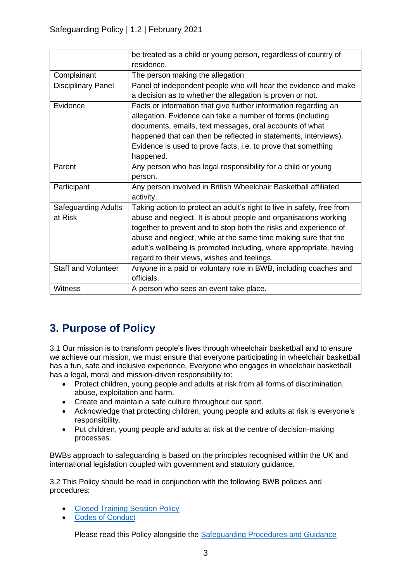|                            | be treated as a child or young person, regardless of country of        |  |  |
|----------------------------|------------------------------------------------------------------------|--|--|
|                            | residence.                                                             |  |  |
| Complainant                | The person making the allegation                                       |  |  |
| <b>Disciplinary Panel</b>  | Panel of independent people who will hear the evidence and make        |  |  |
|                            | a decision as to whether the allegation is proven or not.              |  |  |
| Evidence                   | Facts or information that give further information regarding an        |  |  |
|                            | allegation. Evidence can take a number of forms (including             |  |  |
|                            | documents, emails, text messages, oral accounts of what                |  |  |
|                            | happened that can then be reflected in statements, interviews).        |  |  |
|                            | Evidence is used to prove facts, i.e. to prove that something          |  |  |
|                            | happened.                                                              |  |  |
| Parent                     | Any person who has legal responsibility for a child or young           |  |  |
|                            | person.                                                                |  |  |
| Participant                | Any person involved in British Wheelchair Basketball affiliated        |  |  |
|                            | activity.                                                              |  |  |
| <b>Safeguarding Adults</b> | Taking action to protect an adult's right to live in safety, free from |  |  |
| at Risk                    | abuse and neglect. It is about people and organisations working        |  |  |
|                            | together to prevent and to stop both the risks and experience of       |  |  |
|                            | abuse and neglect, while at the same time making sure that the         |  |  |
|                            | adult's wellbeing is promoted including, where appropriate, having     |  |  |
|                            | regard to their views, wishes and feelings.                            |  |  |
| <b>Staff and Volunteer</b> | Anyone in a paid or voluntary role in BWB, including coaches and       |  |  |
|                            | officials.                                                             |  |  |
| <b>Witness</b>             | A person who sees an event take place.                                 |  |  |

# **3. Purpose of Policy**

3.1 Our mission is to transform people's lives through wheelchair basketball and to ensure we achieve our mission, we must ensure that everyone participating in wheelchair basketball has a fun, safe and inclusive experience. Everyone who engages in wheelchair basketball has a legal, moral and mission-driven responsibility to:

- Protect children, young people and adults at risk from all forms of discrimination, abuse, exploitation and harm.
- Create and maintain a safe culture throughout our sport.
- Acknowledge that protecting children, young people and adults at risk is everyone's responsibility.
- Put children, young people and adults at risk at the centre of decision-making processes.

BWBs approach to safeguarding is based on the principles recognised within the UK and international legislation coupled with government and statutory guidance.

3.2 This Policy should be read in conjunction with the following BWB policies and procedures:

- [Closed Training Session Policy](https://britishwheelchairbasketball.co.uk/mdocs-posts/closed-training-session-policy/)
- [Codes of Conduct](https://britishwheelchairbasketball.co.uk/mdocs-posts/codes-of-conduct/)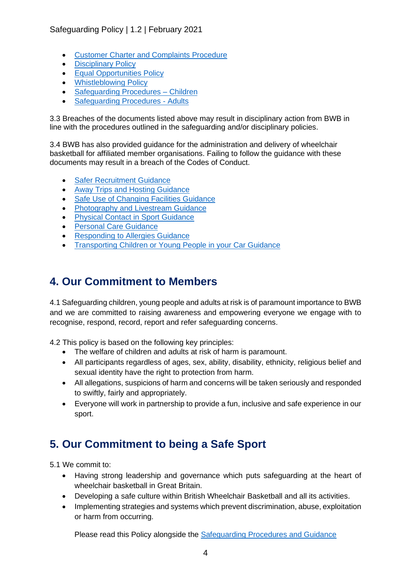#### Safeguarding Policy | 1.2 | February 2021

- [Customer Charter and Complaints Procedure](https://britishwheelchairbasketball.co.uk/mdocs-posts/customer-charter-and-complaints-procedure/)
- [Disciplinary Policy](https://britishwheelchairbasketball.co.uk/mdocs-posts/disciplinary-policy-2/)
- [Equal Opportunities Policy](https://britishwheelchairbasketball.co.uk/mdocs-posts/equal-opportunities-policy/)
- [Whistleblowing Policy](https://britishwheelchairbasketball.co.uk/mdocs-posts/whistleblowing-policy/)
- [Safeguarding Procedures –](https://britishwheelchairbasketball.co.uk/club-resources-toolkit/) Children
- [Safeguarding Procedures -](https://britishwheelchairbasketball.co.uk/club-resources-toolkit/) Adults

3.3 Breaches of the documents listed above may result in disciplinary action from BWB in line with the procedures outlined in the safeguarding and/or disciplinary policies.

3.4 BWB has also provided guidance for the administration and delivery of wheelchair basketball for affiliated member organisations. Failing to follow the guidance with these documents may result in a breach of the Codes of Conduct.

- [Safer Recruitment Guidance](https://britishwheelchairbasketball.co.uk/mdocs-posts/safer-recruitment/)
- [Away Trips and Hosting Guidance](https://britishwheelchairbasketball.co.uk/mdocs-posts/away-trips-and-hosting/)
- [Safe Use of Changing](https://britishwheelchairbasketball.co.uk/mdocs-posts/safe-use-of-changing-facilities-guidance/) Facilities Guidance
- [Photography and Livestream Guidance](https://britishwheelchairbasketball.co.uk/mdocs-posts/photography-and-live-streaming/)
- **[Physical Contact in Sport Guidance](https://britishwheelchairbasketball.co.uk/mdocs-posts/physical-contact-in-sport/)**
- [Personal Care Guidance](https://britishwheelchairbasketball.co.uk/mdocs-posts/personal-care/)
- [Responding to Allergies Guidance](https://britishwheelchairbasketball.co.uk/mdocs-posts/responding-to-allergies/)
- [Transporting Children or Young People in your Car Guidance](https://britishwheelchairbasketball.co.uk/mdocs-posts/transporting-children-or-young-people-in-your-car/)

### **4. Our Commitment to Members**

4.1 Safeguarding children, young people and adults at risk is of paramount importance to BWB and we are committed to raising awareness and empowering everyone we engage with to recognise, respond, record, report and refer safeguarding concerns.

4.2 This policy is based on the following key principles:

- The welfare of children and adults at risk of harm is paramount.
- All participants regardless of ages, sex, ability, disability, ethnicity, religious belief and sexual identity have the right to protection from harm.
- All allegations, suspicions of harm and concerns will be taken seriously and responded to swiftly, fairly and appropriately.
- Everyone will work in partnership to provide a fun, inclusive and safe experience in our sport.

### **5. Our Commitment to being a Safe Sport**

5.1 We commit to:

- Having strong leadership and governance which puts safeguarding at the heart of wheelchair basketball in Great Britain.
- Developing a safe culture within British Wheelchair Basketball and all its activities.
- Implementing strategies and systems which prevent discrimination, abuse, exploitation or harm from occurring.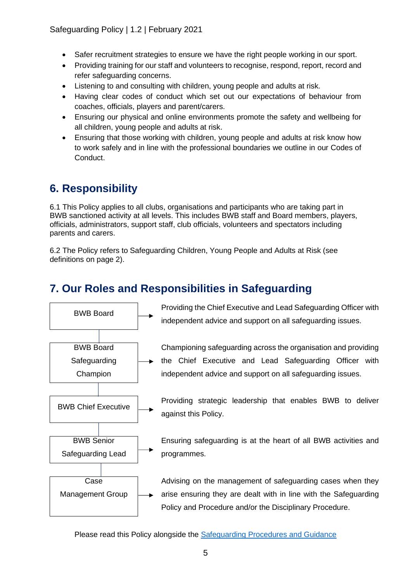Safeguarding Policy | 1.2 | February 2021

- Safer recruitment strategies to ensure we have the right people working in our sport.
- Providing training for our staff and volunteers to recognise, respond, report, record and refer safeguarding concerns.
- Listening to and consulting with children, young people and adults at risk.
- Having clear codes of conduct which set out our expectations of behaviour from coaches, officials, players and parent/carers.
- Ensuring our physical and online environments promote the safety and wellbeing for all children, young people and adults at risk.
- Ensuring that those working with children, young people and adults at risk know how to work safely and in line with the professional boundaries we outline in our Codes of Conduct.

## **6. Responsibility**

6.1 This Policy applies to all clubs, organisations and participants who are taking part in BWB sanctioned activity at all levels. This includes BWB staff and Board members, players, officials, administrators, support staff, club officials, volunteers and spectators including parents and carers.

6.2 The Policy refers to Safeguarding Children, Young People and Adults at Risk (see definitions on page 2).

# **7. Our Roles and Responsibilities in Safeguarding**

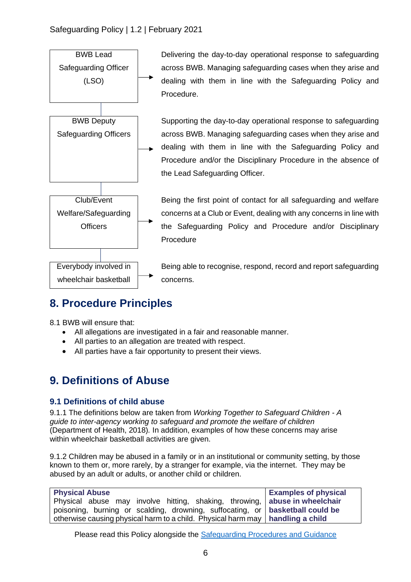

# **8. Procedure Principles**

8.1 BWB will ensure that:

- All allegations are investigated in a fair and reasonable manner.
- All parties to an allegation are treated with respect.
- All parties have a fair opportunity to present their views.

### **9. Definitions of Abuse**

#### **9.1 Definitions of child abuse**

9.1.1 The definitions below are taken from *Working Together to Safeguard Children - A guide to inter-agency working to safeguard and promote the welfare of children*  (Department of Health, 2018)*.* In addition, examples of how these concerns may arise within wheelchair basketball activities are given.

9.1.2 Children may be abused in a family or in an institutional or community setting, by those known to them or, more rarely, by a stranger for example, via the internet. They may be abused by an adult or adults, or another child or children.

| <b>Physical Abuse</b>                                                                  | <b>Examples of physical</b> |
|----------------------------------------------------------------------------------------|-----------------------------|
| Physical abuse may involve hitting, shaking, throwing,   abuse in wheelchair           |                             |
| poisoning, burning or scalding, drowning, suffocating, or basketball could be          |                             |
| otherwise causing physical harm to a child. Physical harm may $\vert$ handling a child |                             |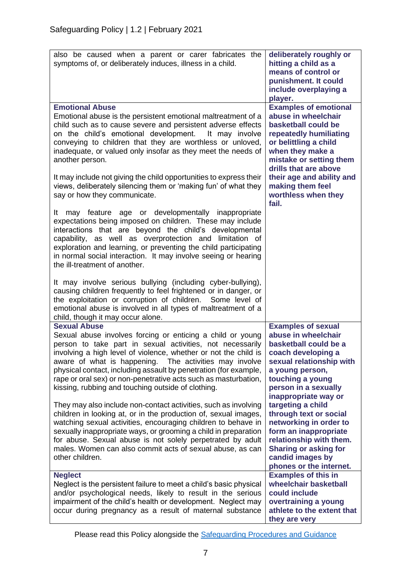| also be caused when a parent or carer fabricates the<br>symptoms of, or deliberately induces, illness in a child.                                                                                                                                                                                                                                                                                                                     | deliberately roughly or<br>hitting a child as a<br>means of control or<br>punishment. It could<br>include overplaying a<br>player.                                                                                                 |
|---------------------------------------------------------------------------------------------------------------------------------------------------------------------------------------------------------------------------------------------------------------------------------------------------------------------------------------------------------------------------------------------------------------------------------------|------------------------------------------------------------------------------------------------------------------------------------------------------------------------------------------------------------------------------------|
| <b>Emotional Abuse</b><br>Emotional abuse is the persistent emotional maltreatment of a<br>child such as to cause severe and persistent adverse effects<br>on the child's emotional development. It may involve<br>conveying to children that they are worthless or unloved,<br>inadequate, or valued only insofar as they meet the needs of<br>another person.<br>It may include not giving the child opportunities to express their | <b>Examples of emotional</b><br>abuse in wheelchair<br>basketball could be<br>repeatedly humiliating<br>or belittling a child<br>when they make a<br>mistake or setting them<br>drills that are above<br>their age and ability and |
| views, deliberately silencing them or 'making fun' of what they<br>say or how they communicate.<br>It may feature age or developmentally inappropriate                                                                                                                                                                                                                                                                                | making them feel<br>worthless when they<br>fail.                                                                                                                                                                                   |
| expectations being imposed on children. These may include<br>interactions that are beyond the child's developmental<br>capability, as well as overprotection and limitation of<br>exploration and learning, or preventing the child participating<br>in normal social interaction. It may involve seeing or hearing<br>the ill-treatment of another.                                                                                  |                                                                                                                                                                                                                                    |
| It may involve serious bullying (including cyber-bullying),<br>causing children frequently to feel frightened or in danger, or<br>the exploitation or corruption of children. Some level of<br>emotional abuse is involved in all types of maltreatment of a<br>child, though it may occur alone.                                                                                                                                     |                                                                                                                                                                                                                                    |
| <b>Sexual Abuse</b><br>Sexual abuse involves forcing or enticing a child or young<br>person to take part in sexual activities, not necessarily                                                                                                                                                                                                                                                                                        | <b>Examples of sexual</b><br>abuse in wheelchair<br>basketball could be a                                                                                                                                                          |
| involving a high level of violence, whether or not the child is<br>aware of what is happening. The activities may involve                                                                                                                                                                                                                                                                                                             | coach developing a<br>sexual relationship with                                                                                                                                                                                     |
| physical contact, including assault by penetration (for example,<br>rape or oral sex) or non-penetrative acts such as masturbation,<br>kissing, rubbing and touching outside of clothing.                                                                                                                                                                                                                                             | a young person,<br>touching a young<br>person in a sexually<br>inappropriate way or                                                                                                                                                |
| They may also include non-contact activities, such as involving<br>children in looking at, or in the production of, sexual images,<br>watching sexual activities, encouraging children to behave in<br>sexually inappropriate ways, or grooming a child in preparation<br>for abuse. Sexual abuse is not solely perpetrated by adult<br>males. Women can also commit acts of sexual abuse, as can<br>other children.                  | targeting a child<br>through text or social<br>networking in order to<br>form an inappropriate<br>relationship with them.<br><b>Sharing or asking for</b><br>candid images by<br>phones or the internet.                           |
| <b>Neglect</b><br>Neglect is the persistent failure to meet a child's basic physical<br>and/or psychological needs, likely to result in the serious<br>impairment of the child's health or development. Neglect may<br>occur during pregnancy as a result of maternal substance                                                                                                                                                       | <b>Examples of this in</b><br>wheelchair basketball<br>could include<br>overtraining a young<br>athlete to the extent that<br>they are very                                                                                        |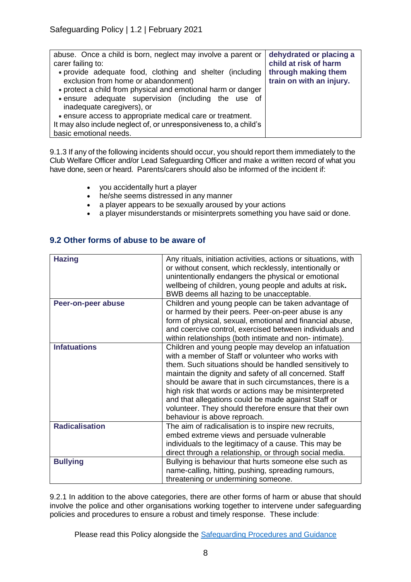| abuse. Once a child is born, neglect may involve a parent or<br>carer failing to:                                                                               | dehydrated or placing a<br>child at risk of harm |
|-----------------------------------------------------------------------------------------------------------------------------------------------------------------|--------------------------------------------------|
| . provide adequate food, clothing and shelter (including<br>exclusion from home or abandonment)<br>• protect a child from physical and emotional harm or danger | through making them<br>train on with an injury.  |
| . ensure adequate supervision (including the use of<br>inadequate caregivers), or                                                                               |                                                  |
| • ensure access to appropriate medical care or treatment.                                                                                                       |                                                  |
| It may also include neglect of, or unresponsiveness to, a child's                                                                                               |                                                  |
| basic emotional needs.                                                                                                                                          |                                                  |

9.1.3 If any of the following incidents should occur, you should report them immediately to the Club Welfare Officer and/or Lead Safeguarding Officer and make a written record of what you have done, seen or heard. Parents/carers should also be informed of the incident if:

- you accidentally hurt a player
- he/she seems distressed in any manner
- a player appears to be sexually aroused by your actions
- a player misunderstands or misinterprets something you have said or done.

| <b>Hazing</b>         | Any rituals, initiation activities, actions or situations, with<br>or without consent, which recklessly, intentionally or<br>unintentionally endangers the physical or emotional<br>wellbeing of children, young people and adults at risk.<br>BWB deems all hazing to be unacceptable.                                                                                                                                                                                                             |
|-----------------------|-----------------------------------------------------------------------------------------------------------------------------------------------------------------------------------------------------------------------------------------------------------------------------------------------------------------------------------------------------------------------------------------------------------------------------------------------------------------------------------------------------|
| Peer-on-peer abuse    | Children and young people can be taken advantage of<br>or harmed by their peers. Peer-on-peer abuse is any<br>form of physical, sexual, emotional and financial abuse,<br>and coercive control, exercised between individuals and<br>within relationships (both intimate and non- intimate).                                                                                                                                                                                                        |
| <b>Infatuations</b>   | Children and young people may develop an infatuation<br>with a member of Staff or volunteer who works with<br>them. Such situations should be handled sensitively to<br>maintain the dignity and safety of all concerned. Staff<br>should be aware that in such circumstances, there is a<br>high risk that words or actions may be misinterpreted<br>and that allegations could be made against Staff or<br>volunteer. They should therefore ensure that their own<br>behaviour is above reproach. |
| <b>Radicalisation</b> | The aim of radicalisation is to inspire new recruits,<br>embed extreme views and persuade vulnerable<br>individuals to the legitimacy of a cause. This may be<br>direct through a relationship, or through social media.                                                                                                                                                                                                                                                                            |
| <b>Bullying</b>       | Bullying is behaviour that hurts someone else such as<br>name-calling, hitting, pushing, spreading rumours,<br>threatening or undermining someone.                                                                                                                                                                                                                                                                                                                                                  |

**9.2 Other forms of abuse to be aware of** 

9.2.1 In addition to the above categories, there are other forms of harm or abuse that should involve the police and other organisations working together to intervene under safeguarding policies and procedures to ensure a robust and timely response. These include: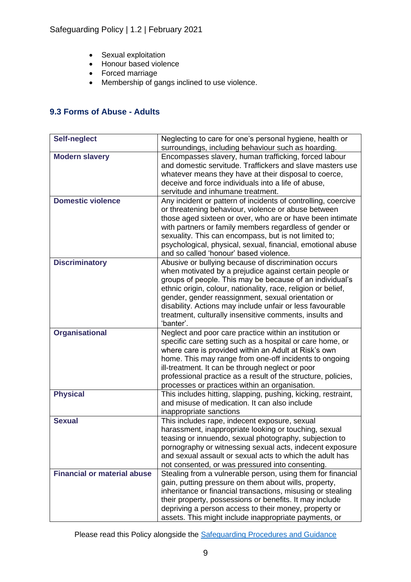- Sexual exploitation
- Honour based violence
- Forced marriage
- Membership of gangs inclined to use violence.

#### **9.3 Forms of Abuse - Adults**

| <b>Self-neglect</b>                | Neglecting to care for one's personal hygiene, health or                                                             |  |
|------------------------------------|----------------------------------------------------------------------------------------------------------------------|--|
|                                    | surroundings, including behaviour such as hoarding.                                                                  |  |
| <b>Modern slavery</b>              | Encompasses slavery, human trafficking, forced labour                                                                |  |
|                                    | and domestic servitude. Traffickers and slave masters use                                                            |  |
|                                    | whatever means they have at their disposal to coerce,                                                                |  |
|                                    | deceive and force individuals into a life of abuse,                                                                  |  |
|                                    | servitude and inhumane treatment.                                                                                    |  |
| <b>Domestic violence</b>           | Any incident or pattern of incidents of controlling, coercive<br>or threatening behaviour, violence or abuse between |  |
|                                    | those aged sixteen or over, who are or have been intimate                                                            |  |
|                                    | with partners or family members regardless of gender or                                                              |  |
|                                    | sexuality. This can encompass, but is not limited to;                                                                |  |
|                                    | psychological, physical, sexual, financial, emotional abuse                                                          |  |
|                                    | and so called 'honour' based violence.                                                                               |  |
| <b>Discriminatory</b>              | Abusive or bullying because of discrimination occurs                                                                 |  |
|                                    | when motivated by a prejudice against certain people or                                                              |  |
|                                    | groups of people. This may be because of an individual's                                                             |  |
|                                    | ethnic origin, colour, nationality, race, religion or belief,                                                        |  |
|                                    | gender, gender reassignment, sexual orientation or                                                                   |  |
|                                    | disability. Actions may include unfair or less favourable                                                            |  |
|                                    | treatment, culturally insensitive comments, insults and                                                              |  |
|                                    | 'banter'.                                                                                                            |  |
| <b>Organisational</b>              | Neglect and poor care practice within an institution or                                                              |  |
|                                    | specific care setting such as a hospital or care home, or                                                            |  |
|                                    | where care is provided within an Adult at Risk's own                                                                 |  |
|                                    | home. This may range from one-off incidents to ongoing                                                               |  |
|                                    | ill-treatment. It can be through neglect or poor                                                                     |  |
|                                    | professional practice as a result of the structure, policies,                                                        |  |
|                                    | processes or practices within an organisation.                                                                       |  |
| <b>Physical</b>                    | This includes hitting, slapping, pushing, kicking, restraint,                                                        |  |
|                                    | and misuse of medication. It can also include                                                                        |  |
|                                    | inappropriate sanctions                                                                                              |  |
| <b>Sexual</b>                      | This includes rape, indecent exposure, sexual                                                                        |  |
|                                    | harassment, inappropriate looking or touching, sexual                                                                |  |
|                                    | teasing or innuendo, sexual photography, subjection to                                                               |  |
|                                    | pornography or witnessing sexual acts, indecent exposure                                                             |  |
|                                    | and sexual assault or sexual acts to which the adult has                                                             |  |
|                                    | not consented, or was pressured into consenting.                                                                     |  |
| <b>Financial or material abuse</b> | Stealing from a vulnerable person, using them for financial                                                          |  |
|                                    | gain, putting pressure on them about wills, property,                                                                |  |
|                                    | inheritance or financial transactions, misusing or stealing                                                          |  |
|                                    | their property, possessions or benefits. It may include<br>depriving a person access to their money, property or     |  |
|                                    | assets. This might include inappropriate payments, or                                                                |  |
|                                    |                                                                                                                      |  |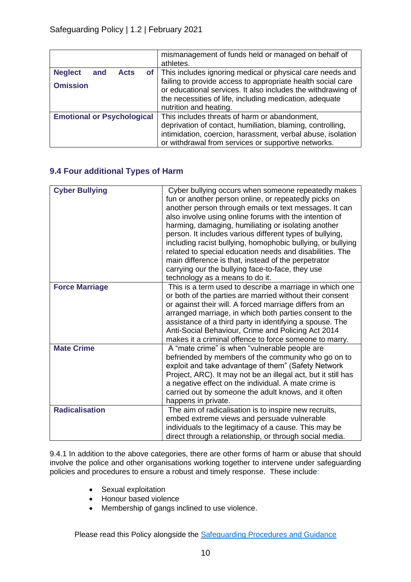|                                      | mismanagement of funds held or managed on behalf of<br>athletes.                                                                                                                                                 |  |
|--------------------------------------|------------------------------------------------------------------------------------------------------------------------------------------------------------------------------------------------------------------|--|
| <b>Neglect</b><br><b>Acts</b><br>and | of   This includes ignoring medical or physical care needs and                                                                                                                                                   |  |
| <b>Omission</b>                      | failing to provide access to appropriate health social care<br>or educational services. It also includes the withdrawing of<br>the necessities of life, including medication, adequate<br>nutrition and heating. |  |
| <b>Emotional or Psychological</b>    | This includes threats of harm or abandonment,                                                                                                                                                                    |  |
|                                      | deprivation of contact, humiliation, blaming, controlling,                                                                                                                                                       |  |
|                                      | intimidation, coercion, harassment, verbal abuse, isolation                                                                                                                                                      |  |
|                                      | or withdrawal from services or supportive networks.                                                                                                                                                              |  |

#### **9.4 Four additional Types of Harm**

| <b>Cyber Bullying</b> | Cyber bullying occurs when someone repeatedly makes<br>fun or another person online, or repeatedly picks on<br>another person through emails or text messages. It can<br>also involve using online forums with the intention of<br>harming, damaging, humiliating or isolating another<br>person. It includes various different types of bullying,<br>including racist bullying, homophobic bullying, or bullying<br>related to special education needs and disabilities. The<br>main difference is that, instead of the perpetrator<br>carrying our the bullying face-to-face, they use<br>technology as a means to do it. |
|-----------------------|-----------------------------------------------------------------------------------------------------------------------------------------------------------------------------------------------------------------------------------------------------------------------------------------------------------------------------------------------------------------------------------------------------------------------------------------------------------------------------------------------------------------------------------------------------------------------------------------------------------------------------|
| <b>Force Marriage</b> | This is a term used to describe a marriage in which one<br>or both of the parties are married without their consent<br>or against their will. A forced marriage differs from an<br>arranged marriage, in which both parties consent to the<br>assistance of a third party in identifying a spouse. The<br>Anti-Social Behaviour, Crime and Policing Act 2014<br>makes it a criminal offence to force someone to marry.                                                                                                                                                                                                      |
| <b>Mate Crime</b>     | A "mate crime" is when "vulnerable people are<br>befriended by members of the community who go on to<br>exploit and take advantage of them" (Safety Network<br>Project, ARC). It may not be an illegal act, but it still has<br>a negative effect on the individual. A mate crime is<br>carried out by someone the adult knows, and it often<br>happens in private.                                                                                                                                                                                                                                                         |
| <b>Radicalisation</b> | The aim of radicalisation is to inspire new recruits,<br>embed extreme views and persuade vulnerable<br>individuals to the legitimacy of a cause. This may be<br>direct through a relationship, or through social media.                                                                                                                                                                                                                                                                                                                                                                                                    |

9.4.1 In addition to the above categories, there are other forms of harm or abuse that should involve the police and other organisations working together to intervene under safeguarding policies and procedures to ensure a robust and timely response. These include:

- Sexual exploitation
- Honour based violence
- Membership of gangs inclined to use violence.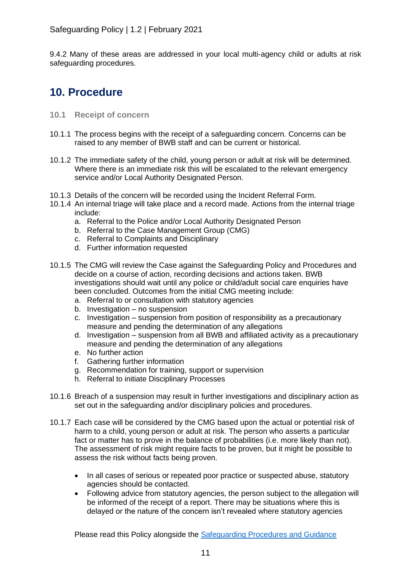9.4.2 Many of these areas are addressed in your local multi-agency child or adults at risk safeguarding procedures.

### **10. Procedure**

- **10.1 Receipt of concern**
- 10.1.1 The process begins with the receipt of a safeguarding concern. Concerns can be raised to any member of BWB staff and can be current or historical.
- 10.1.2 The immediate safety of the child, young person or adult at risk will be determined. Where there is an immediate risk this will be escalated to the relevant emergency service and/or Local Authority Designated Person.
- 10.1.3 Details of the concern will be recorded using the Incident Referral Form.
- 10.1.4 An internal triage will take place and a record made. Actions from the internal triage include:
	- a. Referral to the Police and/or Local Authority Designated Person
	- b. Referral to the Case Management Group (CMG)
	- c. Referral to Complaints and Disciplinary
	- d. Further information requested
- 10.1.5 The CMG will review the Case against the Safeguarding Policy and Procedures and decide on a course of action, recording decisions and actions taken. BWB investigations should wait until any police or child/adult social care enquiries have been concluded. Outcomes from the initial CMG meeting include:
	- a. Referral to or consultation with statutory agencies
	- b. Investigation no suspension
	- c. Investigation suspension from position of responsibility as a precautionary measure and pending the determination of any allegations
	- d. Investigation suspension from all BWB and affiliated activity as a precautionary measure and pending the determination of any allegations
	- e. No further action
	- f. Gathering further information
	- g. Recommendation for training, support or supervision
	- h. Referral to initiate Disciplinary Processes
- 10.1.6 Breach of a suspension may result in further investigations and disciplinary action as set out in the safeguarding and/or disciplinary policies and procedures.
- 10.1.7 Each case will be considered by the CMG based upon the actual or potential risk of harm to a child, young person or adult at risk. The person who asserts a particular fact or matter has to prove in the balance of probabilities (i.e. more likely than not). The assessment of risk might require facts to be proven, but it might be possible to assess the risk without facts being proven.
	- In all cases of serious or repeated poor practice or suspected abuse, statutory agencies should be contacted.
	- Following advice from statutory agencies, the person subject to the allegation will be informed of the receipt of a report. There may be situations where this is delayed or the nature of the concern isn't revealed where statutory agencies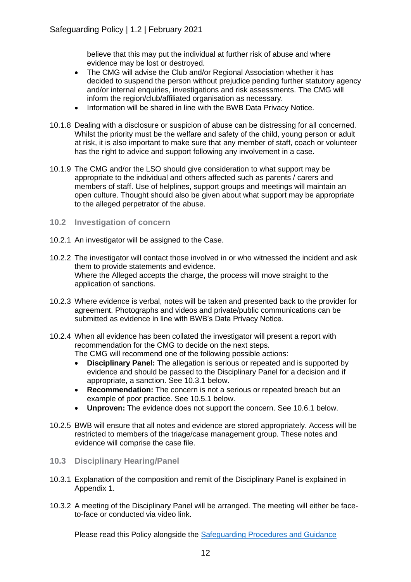believe that this may put the individual at further risk of abuse and where evidence may be lost or destroyed.

- The CMG will advise the Club and/or Regional Association whether it has decided to suspend the person without prejudice pending further statutory agency and/or internal enquiries, investigations and risk assessments. The CMG will inform the region/club/affiliated organisation as necessary.
- Information will be shared in line with the BWB Data Privacy Notice.
- 10.1.8 Dealing with a disclosure or suspicion of abuse can be distressing for all concerned. Whilst the priority must be the welfare and safety of the child, young person or adult at risk, it is also important to make sure that any member of staff, coach or volunteer has the right to advice and support following any involvement in a case.
- 10.1.9 The CMG and/or the LSO should give consideration to what support may be appropriate to the individual and others affected such as parents / carers and members of staff. Use of helplines, support groups and meetings will maintain an open culture. Thought should also be given about what support may be appropriate to the alleged perpetrator of the abuse.
- **10.2 Investigation of concern**
- 10.2.1 An investigator will be assigned to the Case.
- 10.2.2 The investigator will contact those involved in or who witnessed the incident and ask them to provide statements and evidence. Where the Alleged accepts the charge, the process will move straight to the application of sanctions.
- 10.2.3 Where evidence is verbal, notes will be taken and presented back to the provider for agreement. Photographs and videos and private/public communications can be submitted as evidence in line with BWB's Data Privacy Notice.
- 10.2.4 When all evidence has been collated the investigator will present a report with recommendation for the CMG to decide on the next steps. The CMG will recommend one of the following possible actions:
	- **Disciplinary Panel:** The allegation is serious or repeated and is supported by evidence and should be passed to the Disciplinary Panel for a decision and if appropriate, a sanction. See 10.3.1 below.
	- **Recommendation:** The concern is not a serious or repeated breach but an example of poor practice. See 10.5.1 below.
	- **Unproven:** The evidence does not support the concern. See 10.6.1 below.
- 10.2.5 BWB will ensure that all notes and evidence are stored appropriately. Access will be restricted to members of the triage/case management group. These notes and evidence will comprise the case file.
- **10.3 Disciplinary Hearing/Panel**
- 10.3.1 Explanation of the composition and remit of the Disciplinary Panel is explained in Appendix 1.
- 10.3.2 A meeting of the Disciplinary Panel will be arranged. The meeting will either be faceto-face or conducted via video link.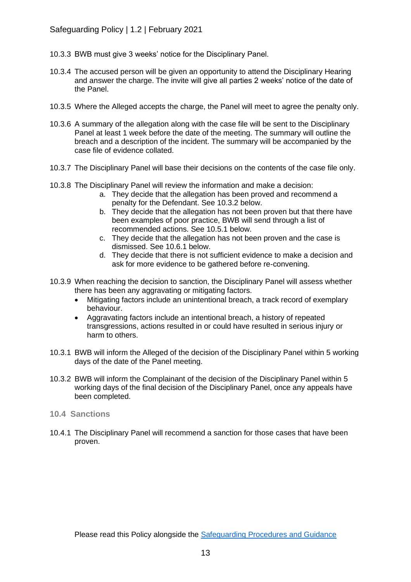- 10.3.3 BWB must give 3 weeks' notice for the Disciplinary Panel.
- 10.3.4 The accused person will be given an opportunity to attend the Disciplinary Hearing and answer the charge. The invite will give all parties 2 weeks' notice of the date of the Panel.
- 10.3.5 Where the Alleged accepts the charge, the Panel will meet to agree the penalty only.
- 10.3.6 A summary of the allegation along with the case file will be sent to the Disciplinary Panel at least 1 week before the date of the meeting. The summary will outline the breach and a description of the incident. The summary will be accompanied by the case file of evidence collated.
- 10.3.7 The Disciplinary Panel will base their decisions on the contents of the case file only.
- 10.3.8 The Disciplinary Panel will review the information and make a decision:
	- a. They decide that the allegation has been proved and recommend a penalty for the Defendant. See 10.3.2 below.
	- b. They decide that the allegation has not been proven but that there have been examples of poor practice, BWB will send through a list of recommended actions. See 10.5.1 below.
	- c. They decide that the allegation has not been proven and the case is dismissed. See 10.6.1 below.
	- d. They decide that there is not sufficient evidence to make a decision and ask for more evidence to be gathered before re-convening.
- 10.3.9 When reaching the decision to sanction, the Disciplinary Panel will assess whether there has been any aggravating or mitigating factors.
	- Mitigating factors include an unintentional breach, a track record of exemplary behaviour.
	- Aggravating factors include an intentional breach, a history of repeated transgressions, actions resulted in or could have resulted in serious injury or harm to others.
- 10.3.1 BWB will inform the Alleged of the decision of the Disciplinary Panel within 5 working days of the date of the Panel meeting.
- 10.3.2 BWB will inform the Complainant of the decision of the Disciplinary Panel within 5 working days of the final decision of the Disciplinary Panel, once any appeals have been completed.
- **10.4 Sanctions**
- 10.4.1 The Disciplinary Panel will recommend a sanction for those cases that have been proven.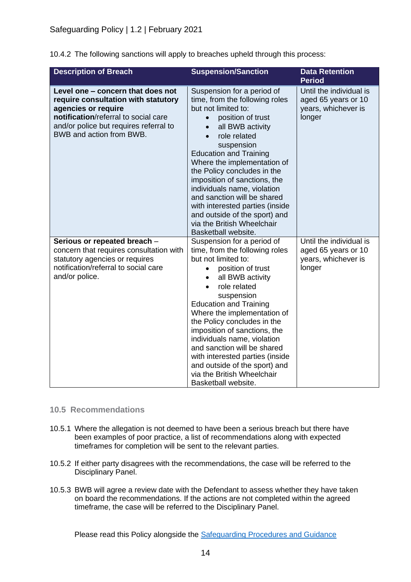10.4.2 The following sanctions will apply to breaches upheld through this process:

| <b>Description of Breach</b>                                                                                                                                                                                  | <b>Suspension/Sanction</b>                                                                                                                                                                                                                                                                                                                                                                                                                                                                    | <b>Data Retention</b><br><b>Period</b>                                          |
|---------------------------------------------------------------------------------------------------------------------------------------------------------------------------------------------------------------|-----------------------------------------------------------------------------------------------------------------------------------------------------------------------------------------------------------------------------------------------------------------------------------------------------------------------------------------------------------------------------------------------------------------------------------------------------------------------------------------------|---------------------------------------------------------------------------------|
| Level one - concern that does not<br>require consultation with statutory<br>agencies or require<br>notification/referral to social care<br>and/or police but requires referral to<br>BWB and action from BWB. | Suspension for a period of<br>time, from the following roles<br>but not limited to:<br>position of trust<br>$\bullet$<br>all BWB activity<br>role related<br>suspension<br><b>Education and Training</b><br>Where the implementation of<br>the Policy concludes in the<br>imposition of sanctions, the<br>individuals name, violation<br>and sanction will be shared<br>with interested parties (inside<br>and outside of the sport) and<br>via the British Wheelchair<br>Basketball website. | Until the individual is<br>aged 65 years or 10<br>years, whichever is<br>longer |
| Serious or repeated breach -<br>concern that requires consultation with<br>statutory agencies or requires<br>notification/referral to social care<br>and/or police.                                           | Suspension for a period of<br>time, from the following roles<br>but not limited to:<br>position of trust<br>all BWB activity<br>role related<br>suspension<br><b>Education and Training</b><br>Where the implementation of<br>the Policy concludes in the<br>imposition of sanctions, the<br>individuals name, violation<br>and sanction will be shared<br>with interested parties (inside<br>and outside of the sport) and<br>via the British Wheelchair<br>Basketball website.              | Until the individual is<br>aged 65 years or 10<br>years, whichever is<br>longer |

#### **10.5 Recommendations**

- 10.5.1 Where the allegation is not deemed to have been a serious breach but there have been examples of poor practice, a list of recommendations along with expected timeframes for completion will be sent to the relevant parties.
- 10.5.2 If either party disagrees with the recommendations, the case will be referred to the Disciplinary Panel.
- 10.5.3 BWB will agree a review date with the Defendant to assess whether they have taken on board the recommendations. If the actions are not completed within the agreed timeframe, the case will be referred to the Disciplinary Panel.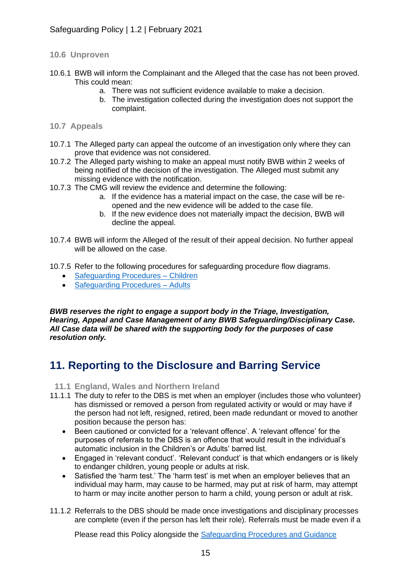#### **10.6 Unproven**

- 10.6.1 BWB will inform the Complainant and the Alleged that the case has not been proved. This could mean:
	- a. There was not sufficient evidence available to make a decision.
	- b. The investigation collected during the investigation does not support the complaint.
- **10.7 Appeals**
- 10.7.1 The Alleged party can appeal the outcome of an investigation only where they can prove that evidence was not considered.
- 10.7.2 The Alleged party wishing to make an appeal must notify BWB within 2 weeks of being notified of the decision of the investigation. The Alleged must submit any missing evidence with the notification.
- 10.7.3 The CMG will review the evidence and determine the following:
	- a. If the evidence has a material impact on the case, the case will be reopened and the new evidence will be added to the case file.
	- b. If the new evidence does not materially impact the decision, BWB will decline the appeal.
- 10.7.4 BWB will inform the Alleged of the result of their appeal decision. No further appeal will be allowed on the case.
- 10.7.5 Refer to the following procedures for safeguarding procedure flow diagrams.
	- Safeguarding Procedures Children
	- [Safeguarding Procedures –](https://britishwheelchairbasketball.co.uk/club-resources-toolkit/) Adults

*BWB reserves the right to engage a support body in the Triage, Investigation, Hearing, Appeal and Case Management of any BWB Safeguarding/Disciplinary Case. All Case data will be shared with the supporting body for the purposes of case resolution only.* 

### **11. Reporting to the Disclosure and Barring Service**

- **11.1 England, Wales and Northern Ireland**
- 11.1.1 The duty to refer to the DBS is met when an employer (includes those who volunteer) has dismissed or removed a person from regulated activity or would or may have if the person had not left, resigned, retired, been made redundant or moved to another position because the person has:
	- Been cautioned or convicted for a 'relevant offence'. A 'relevant offence' for the purposes of referrals to the DBS is an offence that would result in the individual's automatic inclusion in the Children's or Adults' barred list.
	- Engaged in 'relevant conduct'. 'Relevant conduct' is that which endangers or is likely to endanger children, young people or adults at risk.
	- Satisfied the 'harm test.' The 'harm test' is met when an employer believes that an individual may harm, may cause to be harmed, may put at risk of harm, may attempt to harm or may incite another person to harm a child, young person or adult at risk.
- 11.1.2 Referrals to the DBS should be made once investigations and disciplinary processes are complete (even if the person has left their role). Referrals must be made even if a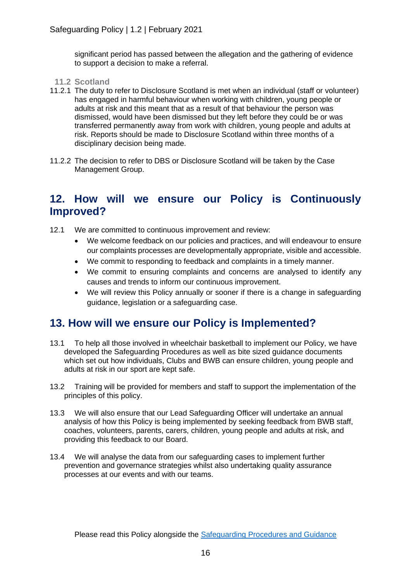significant period has passed between the allegation and the gathering of evidence to support a decision to make a referral.

- **11.2 Scotland**
- 11.2.1 The duty to refer to Disclosure Scotland is met when an individual (staff or volunteer) has engaged in harmful behaviour when working with children, young people or adults at risk and this meant that as a result of that behaviour the person was dismissed, would have been dismissed but they left before they could be or was transferred permanently away from work with children, young people and adults at risk. Reports should be made to Disclosure Scotland within three months of a disciplinary decision being made.
- 11.2.2 The decision to refer to DBS or Disclosure Scotland will be taken by the Case Management Group.

### **12. How will we ensure our Policy is Continuously Improved?**

- 12.1 We are committed to continuous improvement and review:
	- We welcome feedback on our policies and practices, and will endeavour to ensure our complaints processes are developmentally appropriate, visible and accessible.
	- We commit to responding to feedback and complaints in a timely manner.
	- We commit to ensuring complaints and concerns are analysed to identify any causes and trends to inform our continuous improvement.
	- We will review this Policy annually or sooner if there is a change in safeguarding guidance, legislation or a safeguarding case.

### **13. How will we ensure our Policy is Implemented?**

- 13.1 To help all those involved in wheelchair basketball to implement our Policy, we have developed the Safeguarding Procedures as well as bite sized guidance documents which set out how individuals, Clubs and BWB can ensure children, young people and adults at risk in our sport are kept safe.
- 13.2 Training will be provided for members and staff to support the implementation of the principles of this policy.
- 13.3 We will also ensure that our Lead Safeguarding Officer will undertake an annual analysis of how this Policy is being implemented by seeking feedback from BWB staff, coaches, volunteers, parents, carers, children, young people and adults at risk, and providing this feedback to our Board.
- 13.4 We will analyse the data from our safeguarding cases to implement further prevention and governance strategies whilst also undertaking quality assurance processes at our events and with our teams.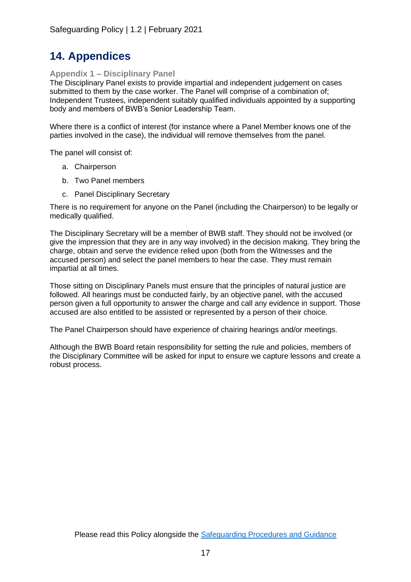### **14. Appendices**

#### **Appendix 1 – Disciplinary Panel**

The Disciplinary Panel exists to provide impartial and independent judgement on cases submitted to them by the case worker. The Panel will comprise of a combination of; Independent Trustees, independent suitably qualified individuals appointed by a supporting body and members of BWB's Senior Leadership Team.

Where there is a conflict of interest (for instance where a Panel Member knows one of the parties involved in the case), the individual will remove themselves from the panel.

The panel will consist of:

- a. Chairperson
- b. Two Panel members
- c. Panel Disciplinary Secretary

There is no requirement for anyone on the Panel (including the Chairperson) to be legally or medically qualified.

The Disciplinary Secretary will be a member of BWB staff. They should not be involved (or give the impression that they are in any way involved) in the decision making. They bring the charge, obtain and serve the evidence relied upon (both from the Witnesses and the accused person) and select the panel members to hear the case. They must remain impartial at all times.

Those sitting on Disciplinary Panels must ensure that the principles of natural justice are followed. All hearings must be conducted fairly, by an objective panel, with the accused person given a full opportunity to answer the charge and call any evidence in support. Those accused are also entitled to be assisted or represented by a person of their choice.

The Panel Chairperson should have experience of chairing hearings and/or meetings.

Although the BWB Board retain responsibility for setting the rule and policies, members of the Disciplinary Committee will be asked for input to ensure we capture lessons and create a robust process.